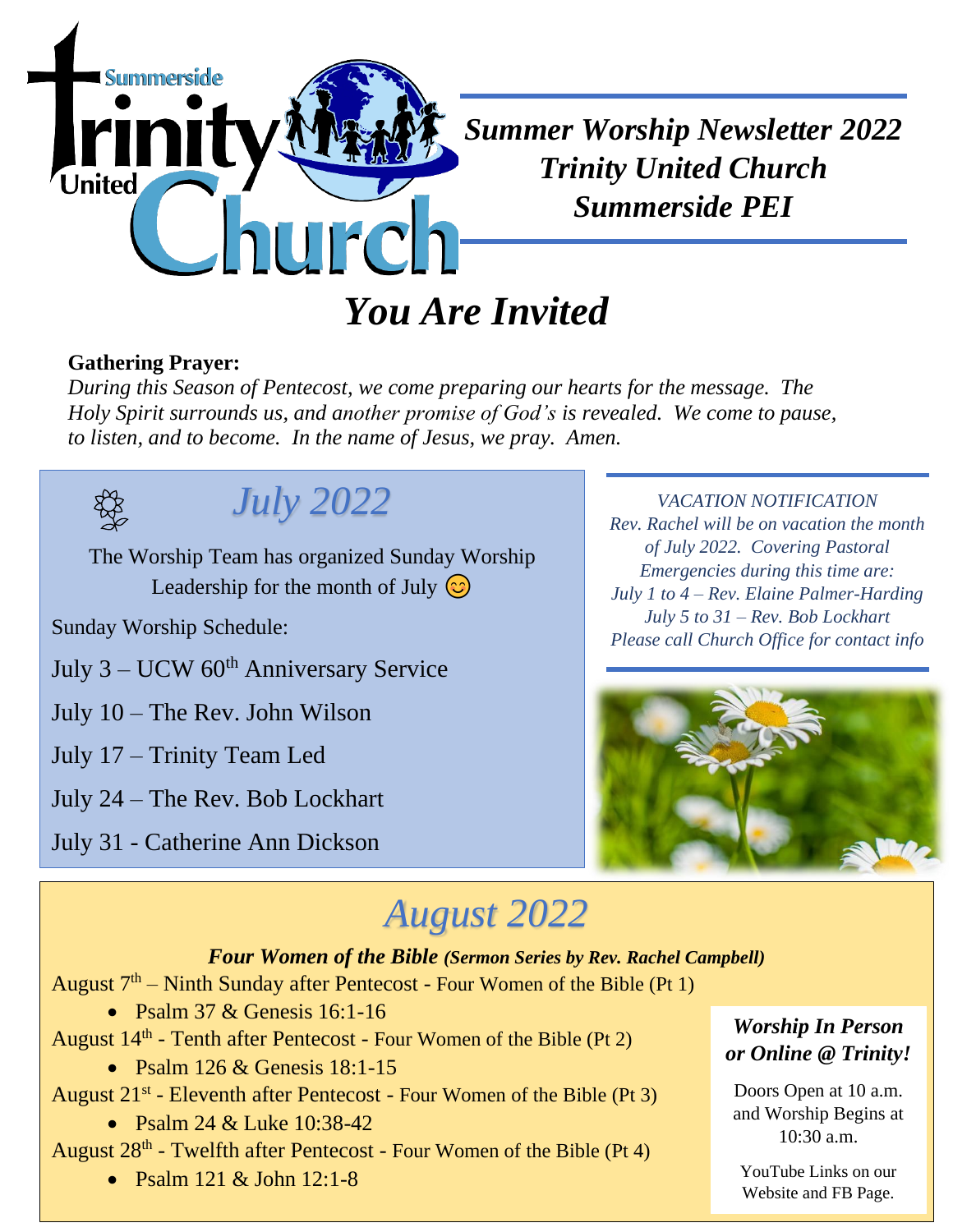

# **Gathering Prayer:**

*During this Season of Pentecost, we come preparing our hearts for the message. The Holy Spirit surrounds us, and another promise of God's is revealed. We come to pause, to listen, and to become. In the name of Jesus, we pray. Amen.*



## *July 2022*

The Worship Team has organized Sunday Worship Leadership for the month of July  $\odot$ 

Sunday Worship Schedule:

July  $3 - UCW$  60<sup>th</sup> Anniversary Service

July 10 – The Rev. John Wilson

July 17 – Trinity Team Led

July 24 – The Rev. Bob Lockhart

July 31 - Catherine Ann Dickson

### *VACATION NOTIFICATION*

*Rev. Rachel will be on vacation the month of July 2022. Covering Pastoral Emergencies during this time are: July 1 to 4 – Rev. Elaine Palmer-Harding July 5 to 31 – Rev. Bob Lockhart Please call Church Office for contact info*



# *August 2022*

#### *Four Women of the Bible (Sermon Series by Rev. Rachel Campbell)*

August  $7<sup>th</sup>$  – Ninth Sunday after Pentecost - Four Women of the Bible (Pt 1)

• Psalm  $37 &$  Genesis  $16:1-16$ 

August  $14<sup>th</sup>$  - Tenth after Pentecost - Four Women of the Bible (Pt 2)

• Psalm  $126 \&$  Genesis  $18:1-15$ 

August 21<sup>st</sup> - Eleventh after Pentecost - Four Women of the Bible (Pt 3)

• Psalm 24 & Luke 10:38-42

August 28<sup>th</sup> - Twelfth after Pentecost - Four Women of the Bible (Pt 4)

• Psalm 121 & John 12:1-8

#### *Worship In Person or Online @ Trinity!*

Doors Open at 10 a.m. and Worship Begins at 10:30 a.m.

YouTube Links on our Website and FB Page.